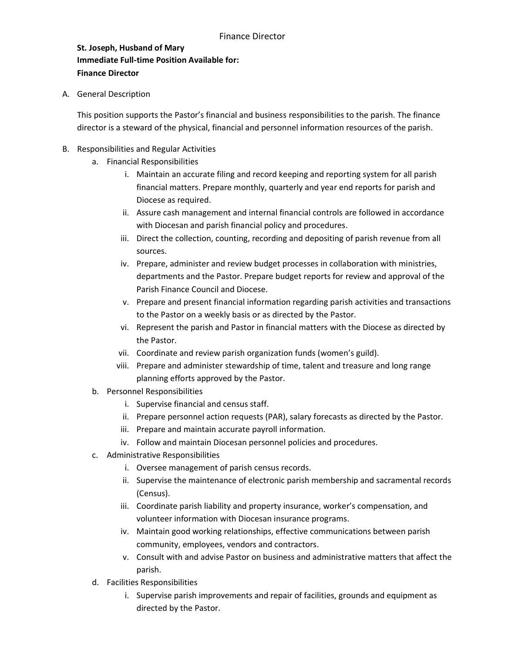**St. Joseph, Husband of Mary Immediate Full-time Position Available for: Finance Director**

A. General Description

This position supports the Pastor's financial and business responsibilities to the parish. The finance director is a steward of the physical, financial and personnel information resources of the parish.

- B. Responsibilities and Regular Activities
	- a. Financial Responsibilities
		- i. Maintain an accurate filing and record keeping and reporting system for all parish financial matters. Prepare monthly, quarterly and year end reports for parish and Diocese as required.
		- ii. Assure cash management and internal financial controls are followed in accordance with Diocesan and parish financial policy and procedures.
		- iii. Direct the collection, counting, recording and depositing of parish revenue from all sources.
		- iv. Prepare, administer and review budget processes in collaboration with ministries, departments and the Pastor. Prepare budget reports for review and approval of the Parish Finance Council and Diocese.
		- v. Prepare and present financial information regarding parish activities and transactions to the Pastor on a weekly basis or as directed by the Pastor.
		- vi. Represent the parish and Pastor in financial matters with the Diocese as directed by the Pastor.
		- vii. Coordinate and review parish organization funds (women's guild).
		- viii. Prepare and administer stewardship of time, talent and treasure and long range planning efforts approved by the Pastor.
	- b. Personnel Responsibilities
		- i. Supervise financial and census staff.
		- ii. Prepare personnel action requests (PAR), salary forecasts as directed by the Pastor.
		- iii. Prepare and maintain accurate payroll information.
		- iv. Follow and maintain Diocesan personnel policies and procedures.
	- c. Administrative Responsibilities
		- i. Oversee management of parish census records.
		- ii. Supervise the maintenance of electronic parish membership and sacramental records (Census).
		- iii. Coordinate parish liability and property insurance, worker's compensation, and volunteer information with Diocesan insurance programs.
		- iv. Maintain good working relationships, effective communications between parish community, employees, vendors and contractors.
		- v. Consult with and advise Pastor on business and administrative matters that affect the parish.
	- d. Facilities Responsibilities
		- i. Supervise parish improvements and repair of facilities, grounds and equipment as directed by the Pastor.